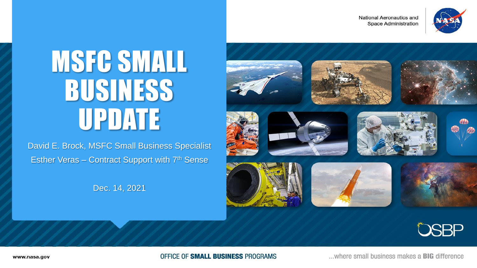National Aeronautics and **Space Administration** 



# MSFC SMALL BUSINESS UPDATE

David E. Brock, MSFC Small Business Specialist Esther Veras – Contract Support with 7<sup>th</sup> Sense

Dec. 14, 2021





www.nasa.gov

OFFICE OF SMALL BUSINESS PROGRAMS

... where small business makes a **BIG** difference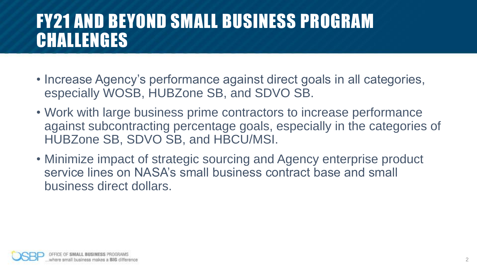#### FY21 AND BEYOND SMALL BUSINESS PROGRAM CHALLENGES

- Increase Agency's performance against direct goals in all categories, especially WOSB, HUBZone SB, and SDVO SB.
- Work with large business prime contractors to increase performance against subcontracting percentage goals, especially in the categories of HUBZone SB, SDVO SB, and HBCU/MSI.
- Minimize impact of strategic sourcing and Agency enterprise product service lines on NASA's small business contract base and small business direct dollars.

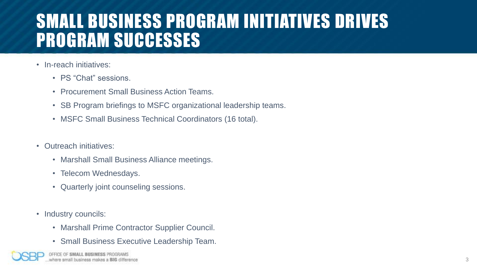#### SMALL BUSINESS PROGRAM INITIATIVES DRIVES PROGRAM SUCCESSES

- In-reach initiatives:
	- PS "Chat" sessions.
	- Procurement Small Business Action Teams.
	- SB Program briefings to MSFC organizational leadership teams.
	- MSFC Small Business Technical Coordinators (16 total).
- Outreach initiatives:
	- Marshall Small Business Alliance meetings.
	- Telecom Wednesdays.
	- Quarterly joint counseling sessions.
- Industry councils:
	- Marshall Prime Contractor Supplier Council.
	- Small Business Executive Leadership Team.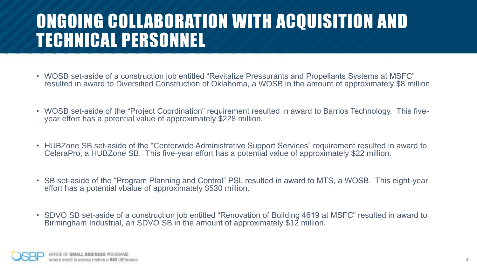#### ONGOING COLLABORATION WITH ACQUISITION AND TECHNICAL PERSONNEL

- WOSB set-aside of a construction job entitled "Revitalize Pressurants and Propellants Systems at MSFC" resulted in award to Diversified Construction of Oklahoma, a WOSB in the amount of approximately \$8 million.
- WOSB set-aside of the "Project Coordination" requirement resulted in award to Barrios Technology. This fiveyear effort has a potential value of approximately \$228 million.
- HUBZone SB set-aside of the "Centerwide Administrative Support Services" requirement resulted in award to CeleraPro, a HUBZone SB. This five-year effort has a potential value of approximately \$22 million.
- SB set-aside of the "Program Planning and Control" PSL resulted in award to MTS, a WOSB. This eight-year effort has a potential vbalue of approximately \$530 million.
- SDVO SB set-aside of a construction job entitled "Renovation of Building 4619 at MSFC" resulted in award to Birmingham Industrial, an SDVO SB in the amount of approximately \$12 million.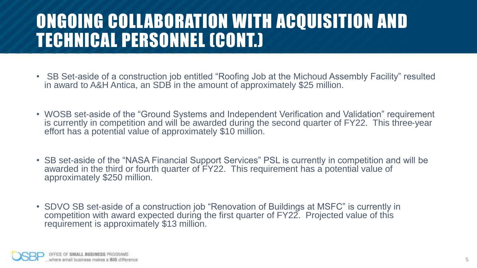#### ONGOING COLLABORATION WITH ACQUISITION AND TECHNICAL PERSONNEL (CONT.)

- SB Set-aside of a construction job entitled "Roofing Job at the Michoud Assembly Facility" resulted in award to A&H Antica, an SDB in the amount of approximately \$25 million.
- WOSB set-aside of the "Ground Systems and Independent Verification and Validation" requirement is currently in competition and will be awarded during the second quarter of FY22. This three-year effort has a potential value of approximately \$10 million.
- SB set-aside of the "NASA Financial Support Services" PSL is currently in competition and will be awarded in the third or fourth quarter of FY22. This requirement has a potential value of approximately \$250 million.
- SDVO SB set-aside of a construction job "Renovation of Buildings at MSFC" is currently in competition with award expected during the first quarter of FY22. Projected value of this requirement is approximately \$13 million.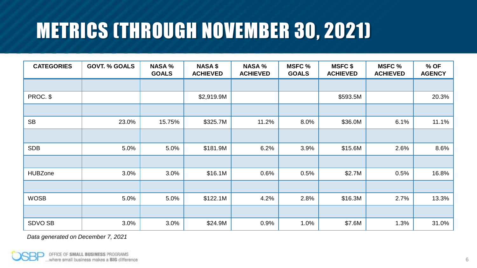# METRICS (THROUGH NOVEMBER 30, 2021)

| <b>CATEGORIES</b> | <b>GOVT. % GOALS</b> | <b>NASA %</b><br><b>GOALS</b> | <b>NASA \$</b><br><b>ACHIEVED</b> | <b>NASA %</b><br><b>ACHIEVED</b> | <b>MSFC %</b><br><b>GOALS</b> | <b>MSFC \$</b><br><b>ACHIEVED</b> | <b>MSFC %</b><br><b>ACHIEVED</b> | $%$ OF<br><b>AGENCY</b> |
|-------------------|----------------------|-------------------------------|-----------------------------------|----------------------------------|-------------------------------|-----------------------------------|----------------------------------|-------------------------|
|                   |                      |                               |                                   |                                  |                               |                                   |                                  |                         |
| PROC. \$          |                      |                               | \$2,919.9M                        |                                  |                               | \$593.5M                          |                                  | 20.3%                   |
|                   |                      |                               |                                   |                                  |                               |                                   |                                  |                         |
| <b>SB</b>         | 23.0%                | 15.75%                        | \$325.7M                          | 11.2%                            | 8.0%                          | \$36.0M                           | 6.1%                             | 11.1%                   |
|                   |                      |                               |                                   |                                  |                               |                                   |                                  |                         |
| <b>SDB</b>        | 5.0%                 | 5.0%                          | \$181.9M                          | 6.2%                             | 3.9%                          | \$15.6M                           | 2.6%                             | 8.6%                    |
|                   |                      |                               |                                   |                                  |                               |                                   |                                  |                         |
| <b>HUBZone</b>    | 3.0%                 | 3.0%                          | \$16.1M                           | 0.6%                             | 0.5%                          | \$2.7M                            | 0.5%                             | 16.8%                   |
|                   |                      |                               |                                   |                                  |                               |                                   |                                  |                         |
| <b>WOSB</b>       | 5.0%                 | 5.0%                          | \$122.1M                          | 4.2%                             | 2.8%                          | \$16.3M                           | 2.7%                             | 13.3%                   |
|                   |                      |                               |                                   |                                  |                               |                                   |                                  |                         |
| SDVO SB           | 3.0%                 | 3.0%                          | \$24.9M                           | 0.9%                             | 1.0%                          | \$7.6M                            | 1.3%                             | 31.0%                   |

*Data generated on December 7, 2021*

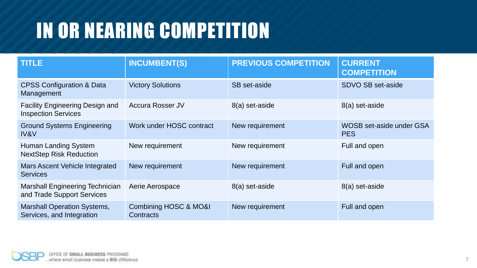# IN OR NEARING COMPETITION

| <b>TITLE</b>                                                         | <b>INCUMBENT(S)</b>                               | <b>PREVIOUS COMPETITION</b> | <b>CURRENT</b><br><b>COMPETITION</b>          |
|----------------------------------------------------------------------|---------------------------------------------------|-----------------------------|-----------------------------------------------|
| <b>CPSS Configuration &amp; Data</b><br>Management                   | <b>Victory Solutions</b>                          | SB set-aside                | <b>SDVO SB set-aside</b>                      |
| <b>Facility Engineering Design and</b><br><b>Inspection Services</b> | <b>Accura Rosser JV</b>                           | 8(a) set-aside              | 8(a) set-aside                                |
| <b>Ground Systems Engineering</b><br><b>IV&amp;V</b>                 | Work under HOSC contract                          | New requirement             | <b>WOSB set-aside under GSA</b><br><b>PES</b> |
| <b>Human Landing System</b><br><b>NextStep Risk Reduction</b>        | New requirement                                   | New requirement             | Full and open                                 |
| Mars Ascent Vehicle Integrated<br><b>Services</b>                    | New requirement                                   | New requirement             | Full and open                                 |
| <b>Marshall Engineering Technician</b><br>and Trade Support Services | Aerie Aerospace                                   | 8(a) set-aside              | 8(a) set-aside                                |
| <b>Marshall Operation Systems,</b><br>Services, and Integration      | <b>Combining HOSC &amp; MO&amp;I</b><br>Contracts | New requirement             | Full and open                                 |

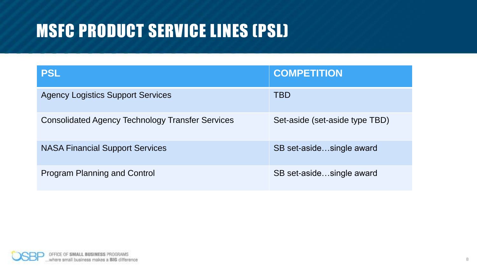#### MSFC PRODUCT SERVICE LINES (PSL)

| <b>PSL</b>                                              | <b>COMPETITION</b>             |
|---------------------------------------------------------|--------------------------------|
| <b>Agency Logistics Support Services</b>                | <b>TBD</b>                     |
| <b>Consolidated Agency Technology Transfer Services</b> | Set-aside (set-aside type TBD) |
| <b>NASA Financial Support Services</b>                  | SB set-asidesingle award       |
| <b>Program Planning and Control</b>                     | SB set-asidesingle award       |

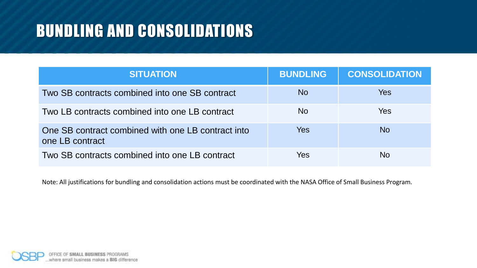#### BUNDLING AND CONSOLIDATIONS

| <b>SITUATION</b>                                                      | <b>BUNDLING</b> | <b>CONSOLIDATION</b> |
|-----------------------------------------------------------------------|-----------------|----------------------|
| Two SB contracts combined into one SB contract                        | <b>No</b>       | Yes                  |
| Two LB contracts combined into one LB contract                        | N <sub>o</sub>  | <b>Yes</b>           |
| One SB contract combined with one LB contract into<br>one LB contract | Yes             | No.                  |
| Two SB contracts combined into one LB contract                        | Yes             | No                   |

Note: All justifications for bundling and consolidation actions must be coordinated with the NASA Office of Small Business Program.

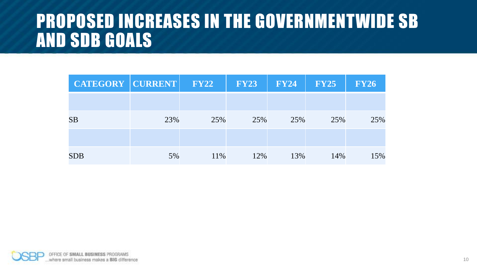#### PROPOSED INCREASES IN THE GOVERNMENTWIDE SB AND SDB GOALS

| CATEGORY CURRENT |     | <b>FY22</b> | <b>FY23</b> | <b>FY24</b> | <b>FY25</b> | <b>FY26</b> |
|------------------|-----|-------------|-------------|-------------|-------------|-------------|
|                  |     |             |             |             |             |             |
| <b>SB</b>        | 23% | 25%         | 25%         | 25%         | 25%         | 25%         |
|                  |     |             |             |             |             |             |
| <b>SDB</b>       | 5%  | 11%         | 12%         | 13%         | 14%         | 15%         |

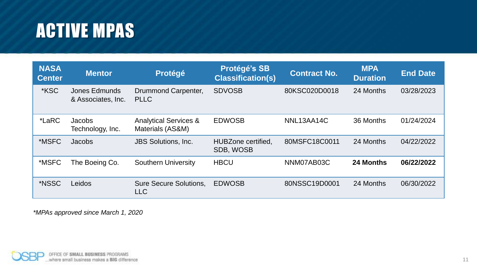### ACTIVE MPAS

| <b>NASA</b><br><b>Center</b> | <b>Mentor</b>                       | Protégé                                              | <b>Protégé's SB</b><br><b>Classification(s)</b> | <b>Contract No.</b> | <b>MPA</b><br><b>Duration</b> | <b>End Date</b> |
|------------------------------|-------------------------------------|------------------------------------------------------|-------------------------------------------------|---------------------|-------------------------------|-----------------|
| *KSC                         | Jones Edmunds<br>& Associates, Inc. | Drummond Carpenter,<br><b>PLLC</b>                   | <b>SDVOSB</b>                                   | 80KSC020D0018       | 24 Months                     | 03/28/2023      |
| *LaRC                        | Jacobs<br>Technology, Inc.          | <b>Analytical Services &amp;</b><br>Materials (AS&M) | <b>EDWOSB</b>                                   | NNL13AA14C          | 36 Months                     | 01/24/2024      |
| *MSFC                        | Jacobs                              | <b>JBS Solutions, Inc.</b>                           | HUBZone certified,<br>SDB, WOSB                 | 80MSFC18C0011       | 24 Months                     | 04/22/2022      |
| *MSFC                        | The Boeing Co.                      | <b>Southern University</b>                           | <b>HBCU</b>                                     | NNM07AB03C          | 24 Months                     | 06/22/2022      |
| *NSSC                        | Leidos                              | <b>Sure Secure Solutions,</b><br><b>LLC</b>          | <b>EDWOSB</b>                                   | 80NSSC19D0001       | 24 Months                     | 06/30/2022      |

*\*MPAs approved since March 1, 2020*

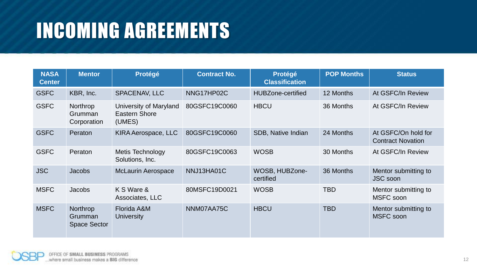## INCOMING AGREEMENTS

| <b>NASA</b><br>Center <sup>1</sup> | <b>Mentor</b>                              | <b>Protégé</b>                                    | <b>Contract No.</b> | Protégé<br><b>Classification</b> | <b>POP Months</b> | <b>Status</b>                                   |
|------------------------------------|--------------------------------------------|---------------------------------------------------|---------------------|----------------------------------|-------------------|-------------------------------------------------|
| <b>GSFC</b>                        | KBR, Inc.                                  | <b>SPACENAV, LLC</b>                              | NNG17HP02C          | <b>HUBZone-certified</b>         | 12 Months         | At GSFC/In Review                               |
| <b>GSFC</b>                        | Northrop<br>Grumman<br>Corporation         | University of Maryland<br>Eastern Shore<br>(UMES) | 80GSFC19C0060       | <b>HBCU</b>                      | 36 Months         | At GSFC/In Review                               |
| <b>GSFC</b>                        | Peraton                                    | <b>KIRA Aerospace, LLC</b>                        | 80GSFC19C0060       | SDB, Native Indian               | 24 Months         | At GSFC/On hold for<br><b>Contract Novation</b> |
| <b>GSFC</b>                        | Peraton                                    | Metis Technology<br>Solutions, Inc.               | 80GSFC19C0063       | <b>WOSB</b>                      | 30 Months         | At GSFC/In Review                               |
| <b>JSC</b>                         | <b>Jacobs</b>                              | <b>McLaurin Aerospace</b>                         | NNJ13HA01C          | WOSB, HUBZone-<br>certified      | 36 Months         | Mentor submitting to<br><b>JSC</b> soon         |
| <b>MSFC</b>                        | <b>Jacobs</b>                              | K S Ware &<br>Associates, LLC                     | 80MSFC19D0021       | <b>WOSB</b>                      | <b>TBD</b>        | Mentor submitting to<br>MSFC soon               |
| <b>MSFC</b>                        | Northrop<br>Grumman<br><b>Space Sector</b> | Florida A&M<br><b>University</b>                  | NNM07AA75C          | <b>HBCU</b>                      | <b>TBD</b>        | Mentor submitting to<br><b>MSFC</b> soon        |

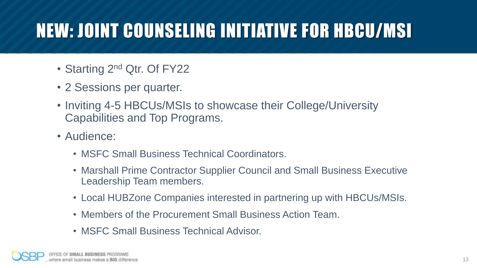### NEW: JOINT COUNSELING INITIATIVE FOR HBCU/MSI

- Starting 2<sup>nd</sup> Qtr. Of FY22
- 2 Sessions per quarter.
- Inviting 4-5 HBCUs/MSIs to showcase their College/University Capabilities and Top Programs.
- Audience:
	- MSFC Small Business Technical Coordinators.
	- Marshall Prime Contractor Supplier Council and Small Business Executive Leadership Team members.
	- Local HUBZone Companies interested in partnering up with HBCUs/MSIs.
	- Members of the Procurement Small Business Action Team.
	- MSFC Small Business Technical Advisor.